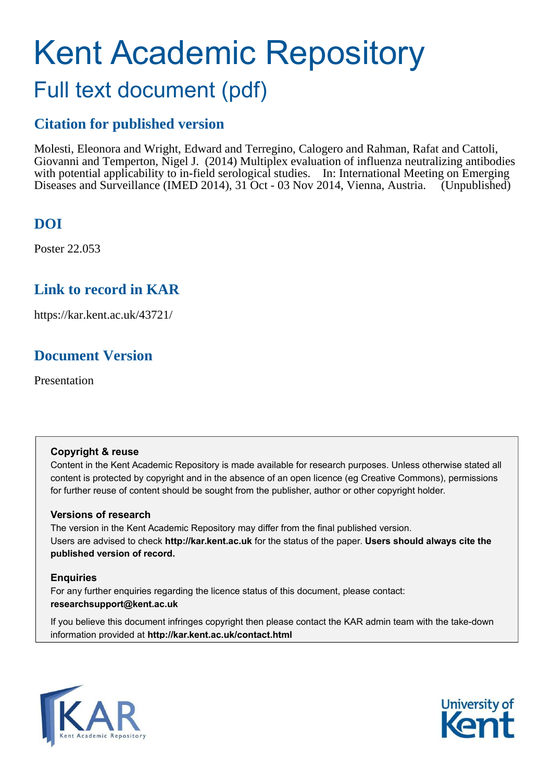# Kent Academic Repository

## Full text document (pdf)

#### **Citation for published version**

Molesti, Eleonora and Wright, Edward and Terregino, Calogero and Rahman, Rafat and Cattoli, Giovanni and Temperton, Nigel J. (2014) Multiplex evaluation of influenza neutralizing antibodies with potential applicability to in-field serological studies. In: International Meeting on Emerging Diseases and Surveillance (IMED 2014), 31 Oct - 03 Nov 2014, Vienna, Austria. (Unpublished)

#### **DOI**

Poster 22.053

#### **Link to record in KAR**

https://kar.kent.ac.uk/43721/

#### **Document Version**

Presentation

#### **Copyright & reuse**

Content in the Kent Academic Repository is made available for research purposes. Unless otherwise stated all content is protected by copyright and in the absence of an open licence (eg Creative Commons), permissions for further reuse of content should be sought from the publisher, author or other copyright holder.

#### **Versions of research**

The version in the Kent Academic Repository may differ from the final published version. Users are advised to check **http://kar.kent.ac.uk** for the status of the paper. **Users should always cite the published version of record.**

#### **Enquiries**

For any further enquiries regarding the licence status of this document, please contact: **researchsupport@kent.ac.uk**

If you believe this document infringes copyright then please contact the KAR admin team with the take-down information provided at **http://kar.kent.ac.uk/contact.html**